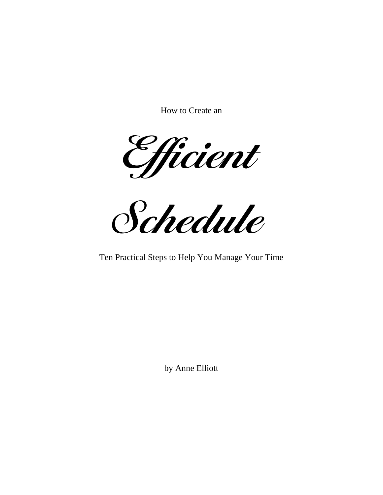How to Create an

Efficient

Schedule

Ten Practical Steps to Help You Manage Your Time

by Anne Elliott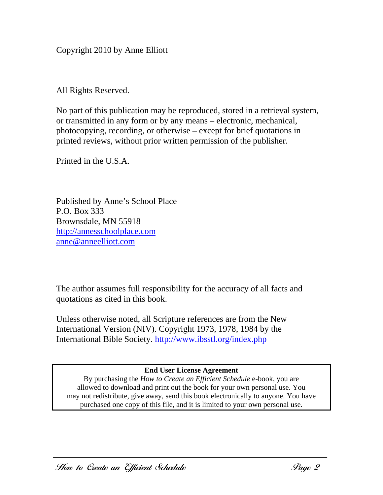Copyright 2010 by Anne Elliott

All Rights Reserved.

No part of this publication may be reproduced, stored in a retrieval system, or transmitted in any form or by any means – electronic, mechanical, photocopying, recording, or otherwise – except for brief quotations in printed reviews, without prior written permission of the publisher.

Printed in the U.S.A.

Published by Anne's School Place P.O. Box 333 Brownsdale, MN 55918 http://annesschoolplace.com anne@anneelliott.com

The author assumes full responsibility for the accuracy of all facts and quotations as cited in this book.

Unless otherwise noted, all Scripture references are from the New International Version (NIV). Copyright 1973, 1978, 1984 by the International Bible Society. http://www.ibsstl.org/index.php

#### **End User License Agreement**

By purchasing the *How to Create an Efficient Schedule* e-book, you are allowed to download and print out the book for your own personal use. You may not redistribute, give away, send this book electronically to anyone. You have purchased one copy of this file, and it is limited to your own personal use.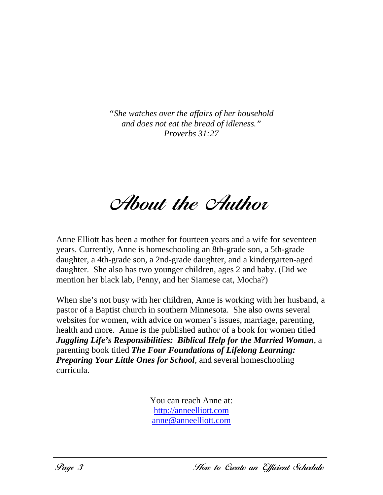*"She watches over the affairs of her household and does not eat the bread of idleness." Proverbs 31:27*

**About the Author** 

Anne Elliott has been a mother for fourteen years and a wife for seventeen years. Currently, Anne is homeschooling an 8th-grade son, a 5th-grade daughter, a 4th-grade son, a 2nd-grade daughter, and a kindergarten-aged daughter. She also has two younger children, ages 2 and baby. (Did we mention her black lab, Penny, and her Siamese cat, Mocha?)

When she's not busy with her children, Anne is working with her husband, a pastor of a Baptist church in southern Minnesota. She also owns several websites for women, with advice on women's issues, marriage, parenting, health and more. Anne is the published author of a book for women titled *Juggling Life's Responsibilities: Biblical Help for the Married Woman*, a parenting book titled *The Four Foundations of Lifelong Learning: Preparing Your Little Ones for School*, and several homeschooling curricula.

> You can reach Anne at: http://anneelliott.com anne@anneelliott.com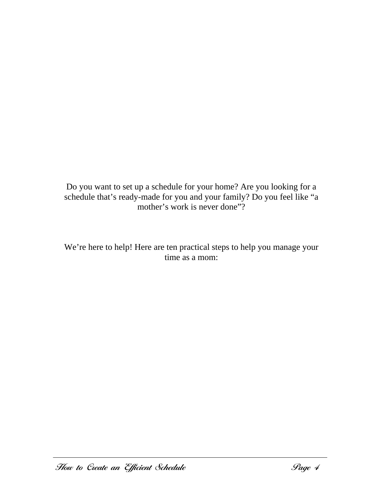Do you want to set up a schedule for your home? Are you looking for a schedule that's ready-made for you and your family? Do you feel like "a mother's work is never done"?

We're here to help! Here are ten practical steps to help you manage your time as a mom: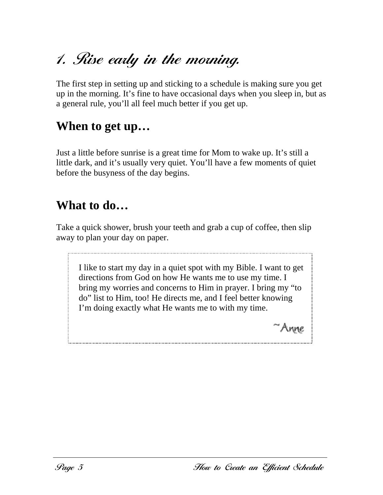# 1. Rise early in the morning.

The first step in setting up and sticking to a schedule is making sure you get up in the morning. It's fine to have occasional days when you sleep in, but as a general rule, you'll all feel much better if you get up.

### **When to get up…**

Just a little before sunrise is a great time for Mom to wake up. It's still a little dark, and it's usually very quiet. You'll have a few moments of quiet before the busyness of the day begins.

### **What to do…**

Take a quick shower, brush your teeth and grab a cup of coffee, then slip away to plan your day on paper.

I like to start my day in a quiet spot with my Bible. I want to get directions from God on how He wants me to use my time. I bring my worries and concerns to Him in prayer. I bring my "to do" list to Him, too! He directs me, and I feel better knowing I'm doing exactly what He wants me to with my time.

'Anne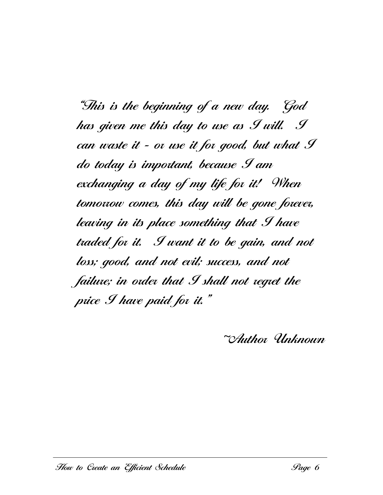"This is the beginning of a new day. God has given me this day to use as I will. I can waste it - or use it for good, but what I do today is important, because I am exchanging a day of my life for it! When tomorrow comes, this day will be gone forever, leaving in its place something that I have traded for it. I want it to be gain, and not loss; good, and not evil; success, and not failure; in order that I shall not regret the price I have paid for it."

~Author Unknown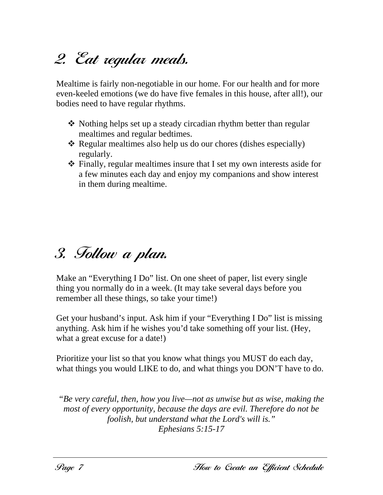# 2. Eat regular meals.

Mealtime is fairly non-negotiable in our home. For our health and for more even-keeled emotions (we do have five females in this house, after all!), our bodies need to have regular rhythms.

- Nothing helps set up a steady circadian rhythm better than regular mealtimes and regular bedtimes.
- \* Regular mealtimes also help us do our chores (dishes especially) regularly.
- $\hat{\mathbf{\cdot}}$  Finally, regular mealtimes insure that I set my own interests aside for a few minutes each day and enjoy my companions and show interest in them during mealtime.

### 3. Follow a plan.

Make an "Everything I Do" list. On one sheet of paper, list every single thing you normally do in a week. (It may take several days before you remember all these things, so take your time!)

Get your husband's input. Ask him if your "Everything I Do" list is missing anything. Ask him if he wishes you'd take something off your list. (Hey, what a great excuse for a date!)

Prioritize your list so that you know what things you MUST do each day, what things you would LIKE to do, and what things you DON'T have to do.

*"Be very careful, then, how you live—not as unwise but as wise, making the most of every opportunity, because the days are evil. Therefore do not be foolish, but understand what the Lord's will is." Ephesians 5:15-17*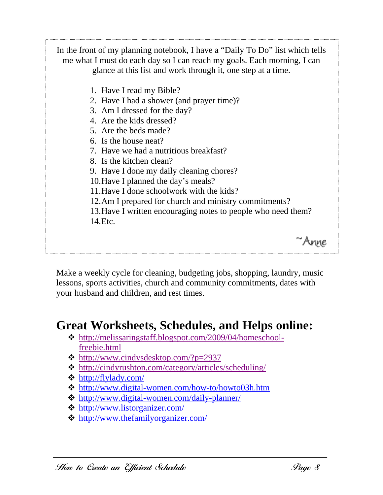In the front of my planning notebook, I have a "Daily To Do" list which tells me what I must do each day so I can reach my goals. Each morning, I can glance at this list and work through it, one step at a time. 1. Have I read my Bible? 2. Have I had a shower (and prayer time)? 3. Am I dressed for the day? 4. Are the kids dressed? 5. Are the beds made? 6. Is the house neat? 7. Have we had a nutritious breakfast? 8. Is the kitchen clean? 9. Have I done my daily cleaning chores? 10. Have I planned the day's meals? 11. Have I done schoolwork with the kids? 12. Am I prepared for church and ministry commitments? 13. Have I written encouraging notes to people who need them? 14. Etc. ~Anne

Make a weekly cycle for cleaning, budgeting jobs, shopping, laundry, music lessons, sports activities, church and community commitments, dates with your husband and children, and rest times.

### **Great Worksheets, Schedules, and Helps online:**

- http://melissaringstaff.blogspot.com/2009/04/homeschoolfreebie.html
- $\cdot \cdot \cdot$  http://www.cindysdesktop.com/?p=2937
- $\triangleq$  http://cindyrushton.com/category/articles/scheduling/
- http://flylady.com/
- http://www.digital-women.com/how-to/howto03h.htm
- http://www.digital-women.com/daily-planner/
- http://www.listorganizer.com/
- http://www.thefamilyorganizer.com/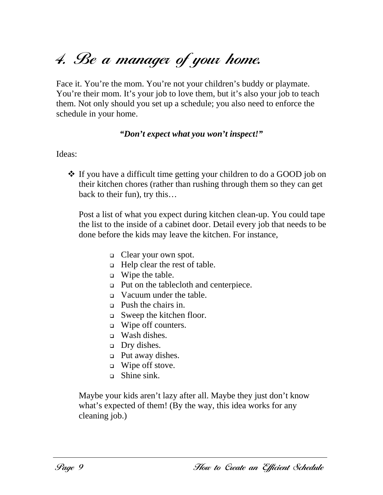# 4. Be a manager of your home.

Face it. You're the mom. You're not your children's buddy or playmate. You're their mom. It's your job to love them, but it's also your job to teach them. Not only should you set up a schedule; you also need to enforce the schedule in your home.

#### *"Don't expect what you won't inspect!"*

#### Ideas:

 If you have a difficult time getting your children to do a GOOD job on their kitchen chores (rather than rushing through them so they can get back to their fun), try this…

Post a list of what you expect during kitchen clean-up. You could tape the list to the inside of a cabinet door. Detail every job that needs to be done before the kids may leave the kitchen. For instance,

- □ Clear your own spot.
- $\Box$  Help clear the rest of table.
- $\Box$  Wipe the table.
- Put on the tablecloth and centerpiece.
- Vacuum under the table.
- **Push the chairs in.**
- Sweep the kitchen floor.
- □ Wipe off counters.
- $\Box$  Wash dishes.
- $\Box$  Dry dishes.
- □ Put away dishes.
- Wipe off stove.
- $\Box$  Shine sink.

Maybe your kids aren't lazy after all. Maybe they just don't know what's expected of them! (By the way, this idea works for any cleaning job.)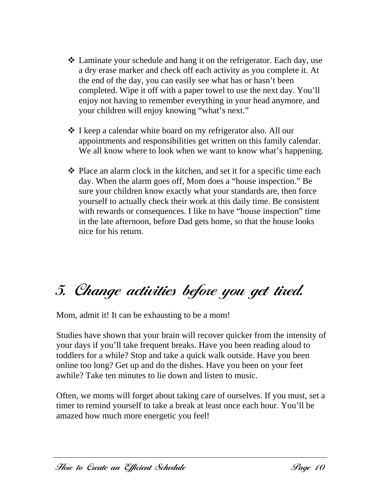- Laminate your schedule and hang it on the refrigerator. Each day, use a dry erase marker and check off each activity as you complete it. At the end of the day, you can easily see what has or hasn't been completed. Wipe it off with a paper towel to use the next day. You'll enjoy not having to remember everything in your head anymore, and your children will enjoy knowing "what's next."
- **◆** I keep a calendar white board on my refrigerator also. All our appointments and responsibilities get written on this family calendar. We all know where to look when we want to know what's happening.
- $\triangle$  Place an alarm clock in the kitchen, and set it for a specific time each day. When the alarm goes off, Mom does a "house inspection." Be sure your children know exactly what your standards are, then force yourself to actually check their work at this daily time. Be consistent with rewards or consequences. I like to have "house inspection" time in the late afternoon, before Dad gets home, so that the house looks nice for his return.

## 5. Change activities before you get tired.

Mom, admit it! It can be exhausting to be a mom!

Studies have shown that your brain will recover quicker from the intensity of your days if you'll take frequent breaks. Have you been reading aloud to toddlers for a while? Stop and take a quick walk outside. Have you been online too long? Get up and do the dishes. Have you been on your feet awhile? Take ten minutes to lie down and listen to music.

Often, we moms will forget about taking care of ourselves. If you must, set a timer to remind yourself to take a break at least once each hour. You'll be amazed how much more energetic you feel!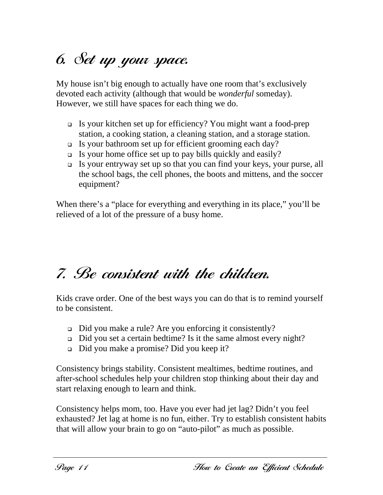# 6. Set up your space.

My house isn't big enough to actually have one room that's exclusively devoted each activity (although that would be *wonderful* someday). However, we still have spaces for each thing we do.

- Is your kitchen set up for efficiency? You might want a food-prep station, a cooking station, a cleaning station, and a storage station.
- Is your bathroom set up for efficient grooming each day?
- $\Box$  Is your home office set up to pay bills quickly and easily?
- Is your entryway set up so that you can find your keys, your purse, all the school bags, the cell phones, the boots and mittens, and the soccer equipment?

When there's a "place for everything and everything in its place," you'll be relieved of a lot of the pressure of a busy home.

# 7. Be consistent with the children.

Kids crave order. One of the best ways you can do that is to remind yourself to be consistent.

- □ Did you make a rule? Are you enforcing it consistently?
- Did you set a certain bedtime? Is it the same almost every night?
- Did you make a promise? Did you keep it?

Consistency brings stability. Consistent mealtimes, bedtime routines, and after-school schedules help your children stop thinking about their day and start relaxing enough to learn and think.

Consistency helps mom, too. Have you ever had jet lag? Didn't you feel exhausted? Jet lag at home is no fun, either. Try to establish consistent habits that will allow your brain to go on "auto-pilot" as much as possible.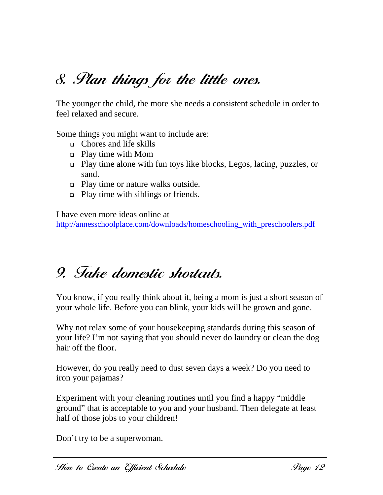## 8. Plan things for the little ones.

The younger the child, the more she needs a consistent schedule in order to feel relaxed and secure.

Some things you might want to include are:

- Chores and life skills
- Play time with Mom
- Play time alone with fun toys like blocks, Legos, lacing, puzzles, or sand.
- □ Play time or nature walks outside.
- □ Play time with siblings or friends.

I have even more ideas online at http://annesschoolplace.com/downloads/homeschooling\_with\_preschoolers.pdf

### 9. Take domestic shortcuts.

You know, if you really think about it, being a mom is just a short season of your whole life. Before you can blink, your kids will be grown and gone.

Why not relax some of your housekeeping standards during this season of your life? I'm not saying that you should never do laundry or clean the dog hair off the floor.

However, do you really need to dust seven days a week? Do you need to iron your pajamas?

Experiment with your cleaning routines until you find a happy "middle ground" that is acceptable to you and your husband. Then delegate at least half of those jobs to your children!

Don't try to be a superwoman.